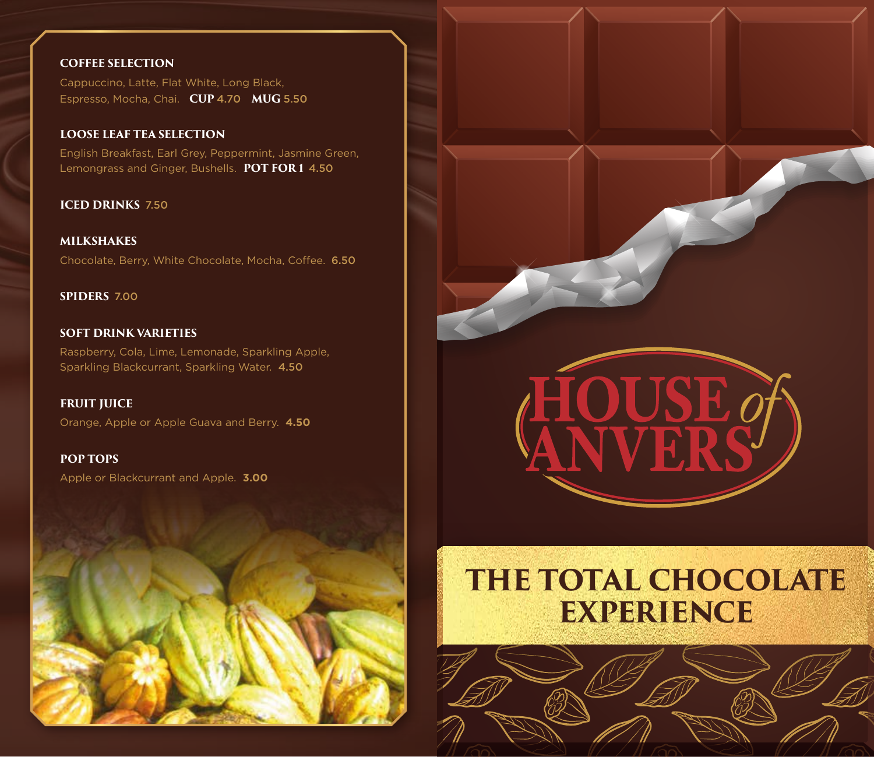#### **COFFEE SELECTION**

Cappuccino, Latte, Flat White, Long Black, Espresso, Mocha, Chai. **CUP** 4.70 **MUG** 5.50

#### **LOOSE LEAF TEA SELECTION**

English Breakfast, Earl Grey, Peppermint, Jasmine Green, Lemongrass and Ginger, Bushells. **POT FOR 1** 4.50

**ICED DRINKS** 7.50

**MILKSHAKES** Chocolate, Berry, White Chocolate, Mocha, Coffee.6.50

**SPIDERS** 7.00

**SOFT DRINK VARIETIES** Raspberry, Cola, Lime, Lemonade, Sparkling Apple, Sparkling Blackcurrant, Sparkling Water. 4.50

**FRUIT JUICE** Orange, Apple or Apple Guava and Berry. **4.50**

**POP TOPS** Apple or Blackcurrant and Apple. **3.00**





# **THE TOTAL CHOCOLATE EXPERIENCE**